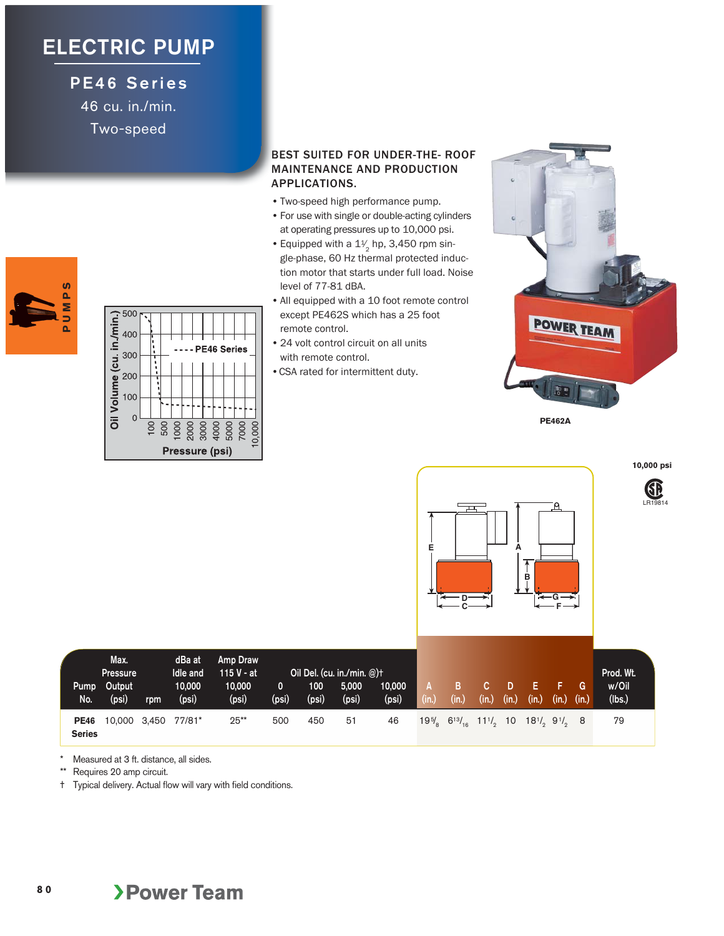## **ELECTRIC PUMP**

**PE46 Series** 46 cu. in./min. Two-speed

**PUMPS**

ò.

ທ U M P

## BEST SUITED FOR UNDER-THE- ROOF MAINTENANCE AND PRODUCTION APPLICATIONS.

- Two-speed high performance pump.
- For use with single or double-acting cylinders at operating pressures up to 10,000 psi.
- Equipped with a  $1\frac{1}{2}$  hp, 3,450 rpm single-phase, 60 Hz thermal protected induction motor that starts under full load. Noise level of 77-81 dBA.
- All equipped with a 10 foot remote control except PE462S which has a 25 foot remote control.
- 24 volt control circuit on all units with remote control.
- CSA rated for intermittent duty.



**10,000 psi** 

**PE462A**



| Pump<br>No.                  | Max.<br><b>Pressure</b><br>Output<br>(psi) | rpm | dBa at<br>Idle and<br>10,000<br>(psi) | Amp Draw<br>$115V - at$<br>10,000<br>(psi) | 0<br>(psi) | 100<br>(psi) | Oil Del. (cu. in./min. $@$ )+<br>5,000<br>(psi) | 10,000<br>(psi) | (in.) | в<br>(in.)                                                                                                                              | (in.) | (in.) | (in.) | (in.) | G<br>(in.) | Prod. Wt.<br>w/Oil<br>(lbs.) |
|------------------------------|--------------------------------------------|-----|---------------------------------------|--------------------------------------------|------------|--------------|-------------------------------------------------|-----------------|-------|-----------------------------------------------------------------------------------------------------------------------------------------|-------|-------|-------|-------|------------|------------------------------|
| <b>PE46</b><br><b>Series</b> | 10,000 3,450                               |     | 77/81*                                | $25**$                                     | 500        | 450          | 51                                              | 46              |       | $19\%$ 6 <sup>13</sup> / <sub>16</sub> 11 <sup>1</sup> / <sub>2</sub> 10 18 <sup>1</sup> / <sub>2</sub> 9 <sup>1</sup> / <sub>2</sub> 8 |       |       |       |       |            | 79                           |

\* Measured at 3 ft. distance, all sides.

Requires 20 amp circuit.

† Typical delivery. Actual flow will vary with field conditions.

**Dil Volume (cu. in./min.)**<br>  $\frac{1}{2}$ <br>  $\frac{1}{2}$ <br>  $\frac{1}{2}$ <br>  $\frac{1}{2}$ <br>  $\frac{1}{2}$ <br>  $\frac{1}{2}$ <br>  $\frac{1}{2}$ <br>  $\frac{1}{2}$ <br>  $\frac{1}{2}$ <br>  $\frac{1}{2}$ PE46 Series 4000 5000  $100$ 2000 3000 7000 0,000 8 500 Pressure (psi)